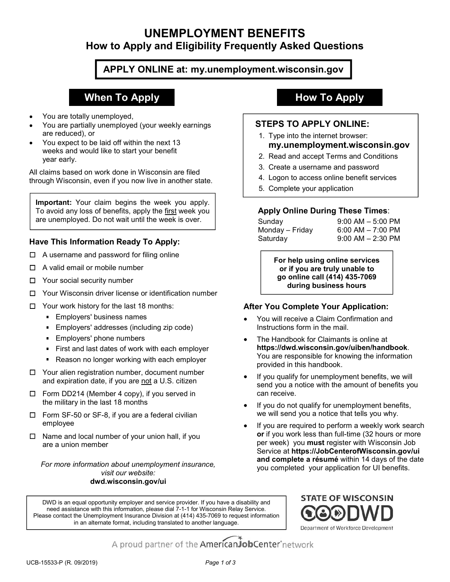# UNEMPLOYMENT BENEFITS UNEMPLOYMENT BENEFITS<br>How to Apply and Eligibility Frequently Asked Questions<br>APPLY ONLINE at: my.unemployment.wisconsin.gov UNEMPLOYMENT BENEFITS<br>
How to Apply and Eligibility Frequently Asked Questions<br>
APPLY ONLINE at: my.unemployment.wisconsin.gov<br>
Volume to allow the Marings<br>
The Maring are reduced by<br>
You are partially unemployed (your wee UNEMPLOYMENT BENEFITS<br>
How to Apply and Eligibility Frequently Asked Questions<br>
You are totally unemployed,<br>
You are totally unemployed,<br>
You are totally unemployed,<br>
You are totally unemployed (your weekly earnings<br>
are r UNEMPLOYMENT BENEFITS<br>
How to Apply and Eligibility Frequently Asked Questions<br>
When To Apply<br>
You are totally unemployed,<br>
You are totally unemployed,<br>
You are partially unemployed,<br>
You are partially unemployed,<br>
You are **ENEFITS**<br> **nent.wisconsin.gov**<br> **How To Apply<br>
How To Apply<br>
STEPS TO APPLY ONLINE:<br>
1. Type into the internet browser:<br>
my.unemployment.wisconsin.gov<br>
2. Read and accept Terms and Conditions<br>
3. Create a username and pas** ENEFITS<br>
Intly Asked Questions<br>
Intertwisconsin.gov<br>
2. For APPLY ONLINE:<br>
1. Type into the internet browser:<br>
1. Type into the internet browser:<br>
Intertwisconsin.gov<br>
2. Read and accept Terms and Conditions<br>
3. Create a u **ENEFITS**<br> **Intername and Algorithms and passes are served as a series and parameters of the internet browser:**<br>
1. Type into the internet browser:<br> **Intername and password**<br>
2. Read and accept Terms and Conditions<br>
3. Cre **ENEFITS**<br> **ENEFITS**<br> **ENERT ARE ALCOMOMORY CONCIDENT STEPS TO APPLY ONLINE:**<br>
1. Type into the internet browser:<br>
1. Type into the internet browser:<br>
2. Read and accept Terms and Conditions<br>
3. Create a username and passw

## APPLY ONLINE at: my.unemployment.wisconsin.gov

# When To Apply **How To Apply**

- You are totally unemployed,
- You are partially unemployed (your weekly earnings are reduced), or
- You expect to be laid off within the next 13 weeks and would like to start your benefit year early.

through Wisconsin, even if you now live in another state.<br>  $\begin{array}{r} 4. \text{ Logon to access online benefit services} \\ 5. \text{ Complete your application} \end{array}$ 

You are totally unemployed,<br>
You are partially unemployed,<br>
You are partially unemployed,<br>
You are partially unemployed (your weekly earnings<br>
You expect to be laid off within the next 13<br>
You expect to be laid off within **Example the same track of the same track of the same track of the same track of the same and password for filing online and the same and password for filing online and the same and password for filing online and the same** are unemployed. Do not wait until the week is over. | Sunday

# Have This Information Ready To Apply: Saturday

- $\Box$  A username and password for filing online
- $\Box$  A valid email or mobile number
- $\Box$  Your social security number
- 
- $\Box$  Your work history for the last 18 months:
	- **Employers' business names**
	- **Employers' addresses (including zip code) Employers' addresses (including zip code) Example 1 Instructions form in the mail.**
	- **Employers' phone numbers**
	- First and last dates of work with each employer
	- Reason no longer working with each employer
- □ Your alien registration number, document number
- the military in the last 18 months
- $\Box$  Form SF-50 or SF-8, if you are a federal civilian  $\Box$  we will send you a notice that tells you why. employee
- are a union member

visit our website: dwd.wisconsin.gov/ui

## STEPS TO APPLY ONLINE:

- my.unemployment.wisconsin.gov
- 
- 
- 
- 

## Apply Online During These Times:

ENEFITS<br>
Internal Asked Questions<br>
Internal Asked Questions<br>
Internal Asked Cuestions<br>
STEPS TO APPLY ONLINE:<br>
1. Type into the internet browser:<br>
Internal Asked and Accept Terms and Conditions<br>
2. Read and accept Terms an mail and Contributions<br>
Monday – Friday Control Control Control Control Control Control Control Control Control Control Control Control Control Control Control Control Control Control Control Control Control Control Contro The Microsofter Control Control Control Control Control Control Control Control Control Control Control Control Control Control Control Control Control Control Control Control Control Control Control Control Control Contro **ENEFITS**<br> **ENEFITS**<br> **ENETTEPS TO APPLY ONLINE:**<br> **STEPS TO APPLY ONLINE:**<br>
1. Type into the internet browser:<br> **My.unemployment.wisconsin.gov**<br> **Read and accept Terms and Conditions**<br>
3. Create a useranme and password<br>
4

For help using online services **STO APPLY ONLINE:**<br>
STO APPLY ONLINE:<br>
ie into the internet browser:<br> **The internet convert of the internet truly unable to the internet wisconsin.gov**<br>
and and accept Terms and Conditions<br>
are a username and password<br>
po How To Apply<br>
S TO APPLY ONLINE:<br>
pe into the internet browser:<br>
y.unemployment.wisconsin.gov<br>
aad and accept Terms and Conditions<br>
seate a username and password<br>
gon to access online benefit services<br>
mplete your applicat during business hours

### After You Complete Your Application:

- You will receive a Claim Confirmation and
- **EXPICITE:** So the method in this hand be the method of the method of the method of the method of the method of the method of the method of the method of the method of the method of the method of the method of the method o 1. Type into the interint browser:<br> **my.unemployment.wisconsin.gov**<br>
2. Read and accept Terms and Conditions<br>
3. Create a username and password<br>
4. Logon to access online benefit services<br>
5. Complete your application<br>
App The Handbook for Claimants is online at https://dwd.wisconsin.gov/uiben/handbook. You are responsible for knowing the information provided in this handbook. **Apply Online During These Times:**<br>
Sunday 9:00 AM – 5:00 PM<br>
Monday – Friday 6:00 AM – 7:00 PM<br>
Saturday 9:00 AM – 2:30 PM<br>
Saturday 9:00 AM – 2:30 PM<br> **For help using online services**<br>
or if you are truly unable to<br>
go o
	- If you qualify for unemployment benefits, we will can receive.
	- If you do not qualify for unemployment benefits,
- <p>CP A function, the number of your union half, if you are a union member of your union half, if you are required to perform a weight for unempty. and complete a return of benefits.</p>\n<p>CP A function, the number of your union half, if you are a federal a similar number of your union half, if you are required to perform a weekly your work. The number of your union half, if you are required to perform a weekly work. The number of your union half, if you are required to perform a weekly work. The number of your union half, if you are required to perform a weekly work. The number of your union half, if you are required to perform a weekly work. The number of your union half, if you are required to perform a weekly work. The number of your union half, if you are required to perform a weekly work. The number of your union half, if you are required to perform a weekly work. The number of your version is a key of a set of the number of the American A username and password for filing online<br>
A valid email or mobile number<br>
Nour social security number<br>
Your social security number<br>
Your work history for the last 18 months:<br>
The Union by the calid (41<br>
Sumplexers' addre suriage<br>
Monday – Friday<br>
6:00 AM – 3:00 PM<br>
Saturday<br>
9:00 AM – 2:30 PM<br>
Saturday<br>
9:00 AM – 2:30 PM<br>
Trivou are truly unable to<br>
go online call (414) 435-7069<br>
during business hours<br>
are during business hours<br>
Friel Pour If you are required to perform a weekly work search or if you work less than full-time (32 hours or more per week) you must register with Wisconsin Job For help using online services<br>or if you are truly unable to<br>go online call (414) 435-7069<br>during business hours<br>Hervice at Claim Confirmation and<br>https://dwd.wisconsin.gov/uiben/handbook.<br>You are responsible for Claimants or if you are truly unable to<br>go online call (414) 435-7069<br>during business hours<br>and complete Your Application:<br>You will receive a Claim Confirmation and<br>Instructions form in the mail.<br>The Handbook for Claimants is online you completed your application for UI benefits. **For more information about unemployment insurance, and complete a résumé** within 14 days of the date Employers' addresses (including zip code)<br>
First and dats describe of With each employer<br>
First and dats describe of With each employer<br>
Please contact with each employer<br>
Please contact the Unemployed in this handbook.<br>

DWD is an equal opportunity employer and service provider. If you have a disability and **STATE OF WISCONSIN** need assistance with this information, please dial 7-1-1 for Wisconsin Relay Service. in an alternate format, including translated to another language.<br>Department of Workforce Development

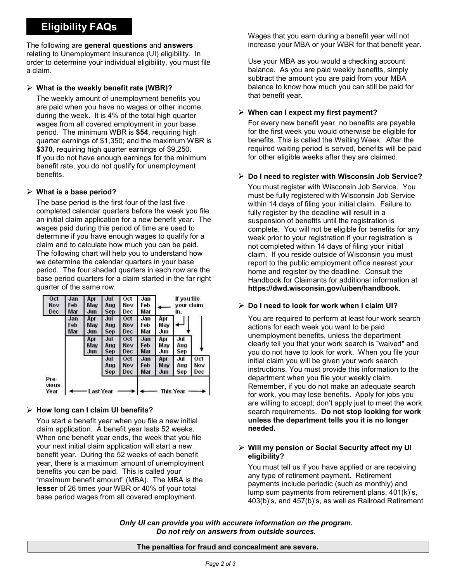# Eligibility FAQs

The following are general questions and answers relating to Unemployment Insurance (UI) eligibility. In order to determine your individual eligibility, you must file a claim.

#### $\triangleright$  What is the weekly benefit rate (WBR)?

The weekly amount of unemployment benefits you are paid when you have no wages or other income during the week. It is 4% of the total high quarter wages from all covered employment in your base **Example 19 For every new benefit year**, no benefits are payable period. The minimum WBR is \$54, requiring high quarter earnings of \$1,350; and the maximum WBR is Eligibility FAQs<br>
Wages that you earn during to Unemployment Insurance (UI) eligibility, the time increase your MBA or you<br>
ter to determine your individual eligibility, you must file<br>
lead to the mount you<br>
alance. As yo If you do not have enough earnings for the minimum Eligibility FAQs<br>
interior of the proportion of the complementation of the section of the section of the section<br>
time of the determine your individual eligibility, you must file<br>
latin.<br>
latin.<br>
latin.<br>
latin.<br>
latin.<br>
w benefits.

#### $\triangleright$  What is a base period?

The base period is the first four of the last five completed calendar quarters before the week you file an initial claim application for a new benefit year. The wages paid during this period of time are used to determine if you have enough wages to qualify for a claim and to calculate how much you can be paid. The following chart will help you to understand how we determine the calendar quarters in your base period. The four shaded quarters in each row are the base period quarters for a claim started in the far right quarter of the same row.



### $\triangleright$  How long can I claim UI benefits?

You start a benefit year when you file a new initial claim application. A benefit year lasts 52 weeks. When one benefit year ends, the week that you file your next initial claim application will start a new benefit year. During the 52 weeks of each benefit year, there is a maximum amount of unemployment benefits you can be paid. This is called your "maximum benefit amount" (MBA). The MBA is the lesser of 26 times your WBR or 40% of your total base period wages from all covered employment.

Wages that you earn during a benefit year will not increase your MBA or your WBR for that benefit year.

Use your MBA as you would a checking account balance. As you are paid weekly benefits, simply subtract the amount you are paid from your MBA balance to know how much you can still be paid for that benefit year.

#### $\triangleright$  When can I expect my first payment?

Wages that you earn during a benefit year will not<br>increase your MBA or your WBR for that benefit year.<br>Use your MBA as you would a checking account<br>balance. As you are paid weekly benefits, simply<br>subtract the amount you for the first week you would otherwise be eligible for benefits. This is called the Waiting Week. After the Wages that you earn during a benefit year will not<br>increase your MBA or your WBR for that benefit year.<br>Use your MBA as you would a checking account<br>balance. As you are paid weekly benefits, simply<br>subtract the amount you for other eligible weeks after they are claimed. Wages that you earn during a benefit year will not<br>increase your MBA or your WBR for that benefit year.<br>Use your MBA as you would a checking account<br>balance. As you are paid weekly benefits, simply<br>balance to know how much

You must register with Wisconsin Job Service. You must be fully registered with Wisconsin Job Service within 14 days of filing your initial claim. Failure to fully register by the deadline will result in a suspension of benefits until the registration is complete. You will not be eligible for benefits for any week prior to your registration if your registration is not completed within 14 days of filing your initial be your whole as you would encerching account<br>balance. As you are paid weekly benefits, simply<br>subtract the amount you are paid from your MBA<br>balance to know how much you can still be paid for<br>that benefit year.<br>When can I report to the public employment office nearest your home and register by the deadline. Consult the Handbook for Claimants for additional information at https://dwd.wisconsin.gov/uiben/handbook. for the first week you would otherwise be eligible for<br>benefits. This is called the Waiting Week. After the<br>required waiting period is served, benefits will be paid<br>for other eligible weeks after they are claimed.<br>**Do I ne** Do I need to register with Wisconsin Job Service?<br>You must register with Wisconsin Job Service. You<br>must be fully registered with Wisconsin Job Service<br>within 14 days of filing your initial claim. Failure to<br>fully register Do I need to register with Wisconsin Job Service?<br>You must register with Wisconsin Job Service. You<br>must be fully registered with Wisconsin Job Service<br>within 14 days of filing your initial claim. Failure to<br>fully register

### $\triangleright$  Do I need to look for work when I claim UI?

actions for each week you want to be paid unemployment benefits, unless the department clearly tell you that your work search is "waived" and instructions. You must provide this information to the department when you file your weekly claim. Remember, if you do not make an adequate search for work, you may lose benefits. Apply for jobs you are willing to accept; don't apply just to meet the work search requirements. Do not stop looking for work unless the department tells you it is no longer needed.

#### $\triangleright$  Will my pension or Social Security affect my UI eligibility?

You must tell us if you have applied or are receiving any type of retirement payment. Retirement payments include periodic (such as monthly) and lump sum payments from retirement plans, 401(k)'s, 403(b)'s, and 457(b)'s, as well as Railroad Retirement

Only UI can provide you with accurate information on the program. Do not rely on answers from outside sources.

#### The penalties for fraud and concealment are severe.